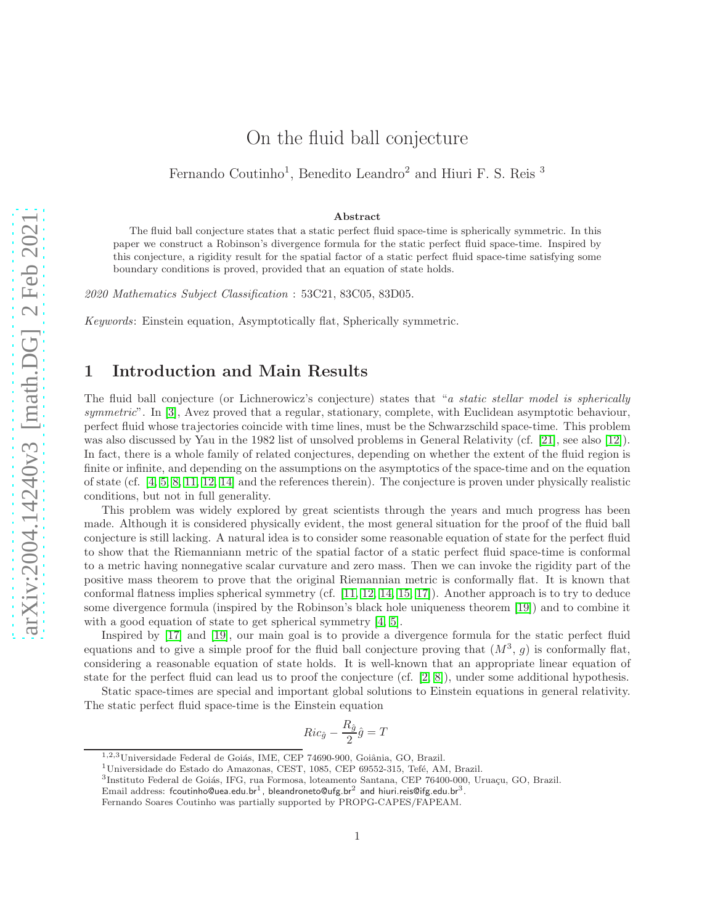# On the fluid ball conjecture

Fernando Coutinho<sup>1</sup>, Benedito Leandro<sup>2</sup> and Hiuri F. S. Reis<sup>3</sup>

#### Abstract

The fluid ball conjecture states that a static perfect fluid space-time is spherically symmetric. In this paper we construct a Robinson's divergence formula for the static perfect fluid space-time. Inspired by this conjecture, a rigidity result for the spatial factor of a static perfect fluid space-time satisfying some boundary conditions is proved, provided that an equation of state holds.

2020 Mathematics Subject Classification : 53C21, 83C05, 83D05.

Keywords: Einstein equation, Asymptotically flat, Spherically symmetric.

### 1 Introduction and Main Results

The fluid ball conjecture (or Lichnerowicz's conjecture) states that "a static stellar model is spherically symmetric". In [\[3\]](#page-10-0), Avez proved that a regular, stationary, complete, with Euclidean asymptotic behaviour, perfect fluid whose trajectories coincide with time lines, must be the Schwarzschild space-time. This problem was also discussed by Yau in the 1982 list of unsolved problems in General Relativity (cf. [\[21\]](#page-11-0), see also [\[12\]](#page-10-1)). In fact, there is a whole family of related conjectures, depending on whether the extent of the fluid region is finite or infinite, and depending on the assumptions on the asymptotics of the space-time and on the equation of state (cf. [\[4,](#page-10-2) [5,](#page-10-3) [8,](#page-10-4) [11,](#page-10-5) [12,](#page-10-1) [14\]](#page-11-1) and the references therein). The conjecture is proven under physically realistic conditions, but not in full generality.

This problem was widely explored by great scientists through the years and much progress has been made. Although it is considered physically evident, the most general situation for the proof of the fluid ball conjecture is still lacking. A natural idea is to consider some reasonable equation of state for the perfect fluid to show that the Riemanniann metric of the spatial factor of a static perfect fluid space-time is conformal to a metric having nonnegative scalar curvature and zero mass. Then we can invoke the rigidity part of the positive mass theorem to prove that the original Riemannian metric is conformally flat. It is known that conformal flatness implies spherical symmetry (cf. [\[11,](#page-10-5) [12,](#page-10-1) [14,](#page-11-1) [15,](#page-11-2) [17\]](#page-11-3)). Another approach is to try to deduce some divergence formula (inspired by the Robinson's black hole uniqueness theorem [\[19\]](#page-11-4)) and to combine it with a good equation of state to get spherical symmetry [\[4,](#page-10-2) [5\]](#page-10-3).

Inspired by [\[17\]](#page-11-3) and [\[19\]](#page-11-4), our main goal is to provide a divergence formula for the static perfect fluid equations and to give a simple proof for the fluid ball conjecture proving that  $(M^3, g)$  is conformally flat, considering a reasonable equation of state holds. It is well-known that an appropriate linear equation of state for the perfect fluid can lead us to proof the conjecture (cf. [\[2,](#page-10-6) [8\]](#page-10-4)), under some additional hypothesis.

Static space-times are special and important global solutions to Einstein equations in general relativity. The static perfect fluid space-time is the Einstein equation

$$
Ric_{\hat{g}} - \frac{R_{\hat{g}}}{2}\hat{g} = T
$$

<sup>&</sup>lt;sup>1,2,3</sup>Universidade Federal de Goiás, IME, CEP 74690-900, Goiânia, GO, Brazil.

 $1$ Universidade do Estado do Amazonas, CEST, 1085, CEP 69552-315, Tefé, AM, Brazil.

<sup>3&</sup>lt;br>Instituto Federal de Goiás, IFG, rua Formosa, loteamento Santana, CEP 76400-000, Uruaçu, GO, Brazil.

Email address: f ${\tt coutinho@uea.edu.br^1}$ , bleandroneto@ufg.br $^2$  and hiuri.reis@ifg.edu.br $^3$ .

Fernando Soares Coutinho was partially supported by PROPG-CAPES/FAPEAM.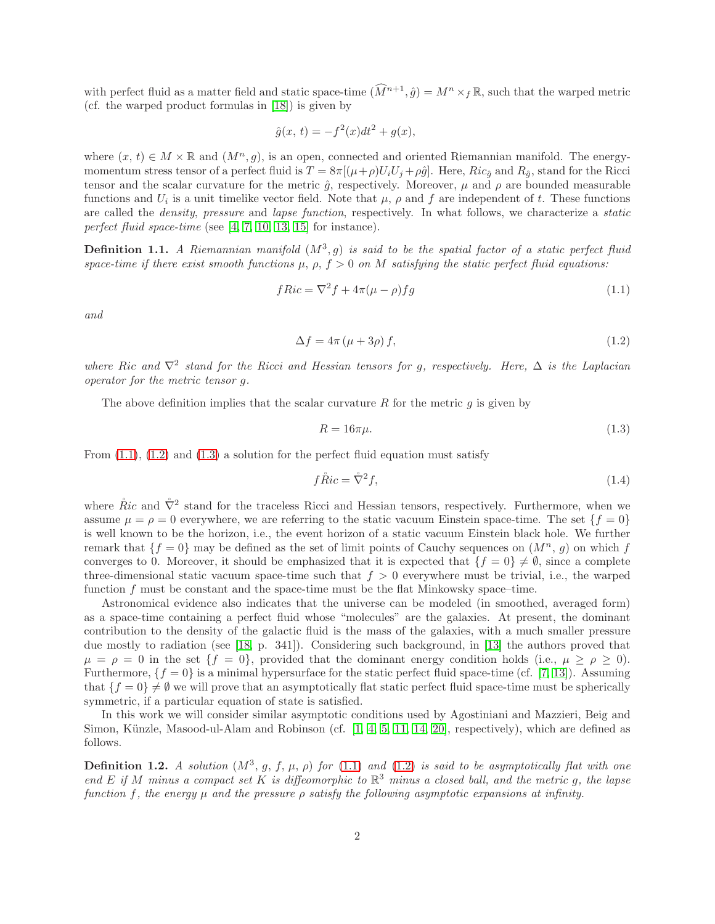with perfect fluid as a matter field and static space-time  $(\widehat{M}^{n+1}, \hat{g}) = M^n \times_f \mathbb{R}$ , such that the warped metric (cf. the warped product formulas in [\[18\]](#page-11-5)) is given by

$$
\hat{g}(x, t) = -f^2(x)dt^2 + g(x),
$$

where  $(x, t) \in M \times \mathbb{R}$  and  $(M^n, g)$ , is an open, connected and oriented Riemannian manifold. The energymomentum stress tensor of a perfect fluid is  $T = 8\pi [(\mu+\rho)U_iU_j + \rho\hat{g}]$ . Here,  $Ric_{\hat{g}}$  and  $R_{\hat{g}}$ , stand for the Ricci tensor and the scalar curvature for the metric  $\hat{g}$ , respectively. Moreover,  $\mu$  and  $\rho$  are bounded measurable functions and  $U_i$  is a unit timelike vector field. Note that  $\mu$ ,  $\rho$  and  $f$  are independent of t. These functions are called the density, pressure and lapse function, respectively. In what follows, we characterize a static perfect fluid space-time (see  $[4, 7, 10, 13, 15]$  $[4, 7, 10, 13, 15]$  $[4, 7, 10, 13, 15]$  $[4, 7, 10, 13, 15]$  $[4, 7, 10, 13, 15]$  for instance).

<span id="page-1-4"></span>**Definition 1.1.** A Riemannian manifold  $(M^3, g)$  is said to be the spatial factor of a static perfect fluid space-time if there exist smooth functions  $\mu$ ,  $\rho$ ,  $f > 0$  on M satisfying the static perfect fluid equations:

<span id="page-1-0"></span>
$$
fRic = \nabla^2 f + 4\pi(\mu - \rho)fg
$$
\n(1.1)

and

<span id="page-1-1"></span>
$$
\Delta f = 4\pi \left(\mu + 3\rho\right) f,\tag{1.2}
$$

where Ric and  $\nabla^2$  stand for the Ricci and Hessian tensors for g, respectively. Here,  $\Delta$  is the Laplacian operator for the metric tensor g.

The above definition implies that the scalar curvature R for the metric  $q$  is given by

<span id="page-1-2"></span>
$$
R = 16\pi\mu.\tag{1.3}
$$

From  $(1.1)$ ,  $(1.2)$  and  $(1.3)$  a solution for the perfect fluid equation must satisfy

<span id="page-1-5"></span>
$$
f\mathring{R}ic = \mathring{\nabla}^2 f,\tag{1.4}
$$

where  $\mathring{R}ic$  and  $\mathring{\nabla}^2$  stand for the traceless Ricci and Hessian tensors, respectively. Furthermore, when we assume  $\mu = \rho = 0$  everywhere, we are referring to the static vacuum Einstein space-time. The set  $\{f = 0\}$ is well known to be the horizon, i.e., the event horizon of a static vacuum Einstein black hole. We further remark that  $\{f = 0\}$  may be defined as the set of limit points of Cauchy sequences on  $(M^n, q)$  on which f converges to 0. Moreover, it should be emphasized that it is expected that  $\{f = 0\} \neq \emptyset$ , since a complete three-dimensional static vacuum space-time such that  $f > 0$  everywhere must be trivial, i.e., the warped function  $f$  must be constant and the space-time must be the flat Minkowsky space–time.

Astronomical evidence also indicates that the universe can be modeled (in smoothed, averaged form) as a space-time containing a perfect fluid whose "molecules" are the galaxies. At present, the dominant contribution to the density of the galactic fluid is the mass of the galaxies, with a much smaller pressure due mostly to radiation (see [\[18,](#page-11-5) p. 341]). Considering such background, in [\[13\]](#page-10-9) the authors proved that  $\mu = \rho = 0$  in the set  $\{f = 0\}$ , provided that the dominant energy condition holds (i.e.,  $\mu \ge \rho \ge 0$ ). Furthermore,  ${f = 0}$  is a minimal hypersurface for the static perfect fluid space-time (cf. [\[7,](#page-10-7) [13\]](#page-10-9)). Assuming that  ${f = 0} \neq \emptyset$  we will prove that an asymptotically flat static perfect fluid space-time must be spherically symmetric, if a particular equation of state is satisfied.

In this work we will consider similar asymptotic conditions used by Agostiniani and Mazzieri, Beig and Simon, Künzle, Masood-ul-Alam and Robinson (cf.  $[1, 4, 5, 11, 14, 20]$  $[1, 4, 5, 11, 14, 20]$  $[1, 4, 5, 11, 14, 20]$  $[1, 4, 5, 11, 14, 20]$  $[1, 4, 5, 11, 14, 20]$  $[1, 4, 5, 11, 14, 20]$ , respectively), which are defined as follows.

<span id="page-1-3"></span>**Definition 1.2.** A solution  $(M^3, g, f, \mu, \rho)$  for [\(1.1\)](#page-1-0) and [\(1.2\)](#page-1-1) is said to be asymptotically flat with one end E if M minus a compact set K is diffeomorphic to  $\mathbb{R}^3$  minus a closed ball, and the metric g, the lapse function f, the energy  $\mu$  and the pressure  $\rho$  satisfy the following asymptotic expansions at infinity.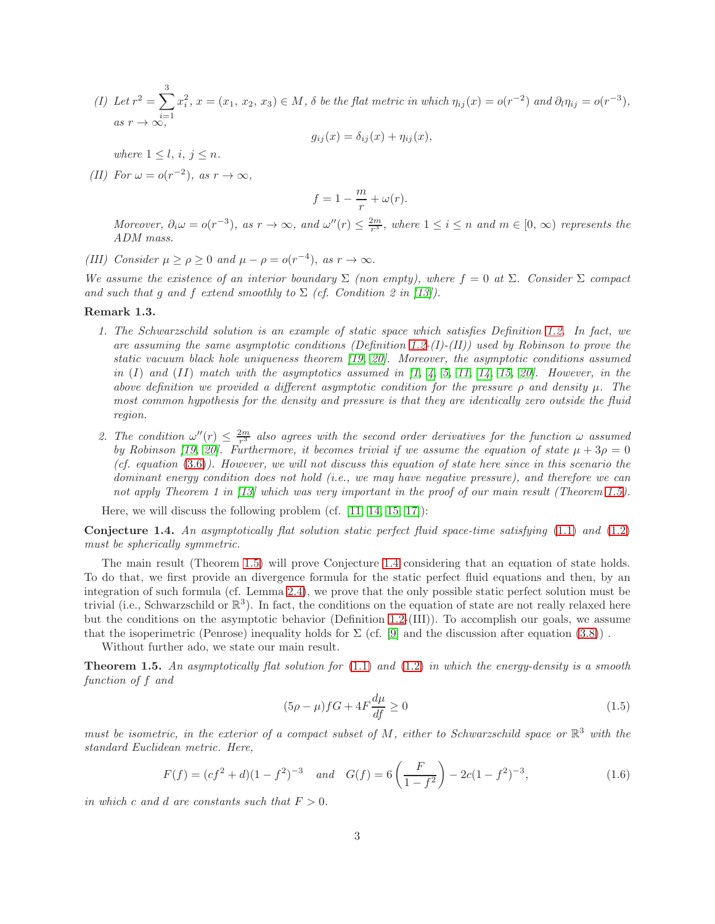(*I*) Let  $r^2 = \sum_1^3$  $i=1$  $x_i^2, x = (x_1, x_2, x_3) \in M$ ,  $\delta$  be the flat metric in which  $\eta_{ij}(x) = o(r^{-2})$  and  $\partial_i \eta_{ij} = o(r^{-3})$ , as  $r \to \infty$ ,

$$
g_{ij}(x) = \delta_{ij}(x) + \eta_{ij}(x),
$$

where  $1 \leq l, i, j \leq n$ .

(II) For  $\omega = o(r^{-2})$ , as  $r \to \infty$ ,

$$
f = 1 - \frac{m}{r} + \omega(r).
$$

Moreover,  $\partial_i \omega = o(r^{-3})$ , as  $r \to \infty$ , and  $\omega''(r) \leq \frac{2m}{r^3}$ , where  $1 \leq i \leq n$  and  $m \in [0, \infty)$  represents the ADM mass.

(III) Consider  $\mu \ge \rho \ge 0$  and  $\mu - \rho = o(r^{-4})$ , as  $r \to \infty$ .

We assume the existence of an interior boundary  $\Sigma$  (non empty), where  $f = 0$  at  $\Sigma$ . Consider  $\Sigma$  compact and such that q and f extend smoothly to  $\Sigma$  (cf. Condition 2 in [\[13\]](#page-10-9)).

#### Remark 1.3.

- 1. The Schwarzschild solution is an example of static space which satisfies Definition [1.2.](#page-1-3) In fact, we are assuming the same asymptotic conditions (Definition [1.2-](#page-1-3) $(I)$ - $(II)$ ) used by Robinson to prove the static vacuum black hole uniqueness theorem [\[19,](#page-11-4) [20\]](#page-11-6). Moreover, the asymptotic conditions assumed in  $(I)$  and  $(II)$  match with the asymptotics assumed in  $\begin{bmatrix} 1, 4, 5, 11, 14, 15, 20 \end{bmatrix}$  $\begin{bmatrix} 1, 4, 5, 11, 14, 15, 20 \end{bmatrix}$  $\begin{bmatrix} 1, 4, 5, 11, 14, 15, 20 \end{bmatrix}$  $\begin{bmatrix} 1, 4, 5, 11, 14, 15, 20 \end{bmatrix}$  $\begin{bmatrix} 1, 4, 5, 11, 14, 15, 20 \end{bmatrix}$  $\begin{bmatrix} 1, 4, 5, 11, 14, 15, 20 \end{bmatrix}$  $\begin{bmatrix} 1, 4, 5, 11, 14, 15, 20 \end{bmatrix}$ . However, in the above definition we provided a different asymptotic condition for the pressure  $\rho$  and density  $\mu$ . The most common hypothesis for the density and pressure is that they are identically zero outside the fluid region.
- 2. The condition  $\omega''(r) \leq \frac{2m}{r^3}$  also agrees with the second order derivatives for the function  $\omega$  assumed by Robinson [\[19,](#page-11-4) [20\]](#page-11-6). Furthermore, it becomes trivial if we assume the equation of state  $\mu + 3\rho = 0$ (cf. equation  $(3.6)$ ). However, we will not discuss this equation of state here since in this scenario the dominant energy condition does not hold *(i.e., we may have negative pressure), and therefore we can* not apply Theorem 1 in [\[13\]](#page-10-9) which was very important in the proof of our main result (Theorem [1.5\)](#page-2-0).

Here, we will discuss the following problem (cf. [\[11,](#page-10-5) [14,](#page-11-1) [15,](#page-11-2) [17\]](#page-11-3)):

<span id="page-2-1"></span>**Conjecture 1.4.** An asymptotically flat solution static perfect fluid space-time satisfying  $(1.1)$  and  $(1.2)$ must be spherically symmetric.

The main result (Theorem [1.5\)](#page-2-0) will prove Conjecture [1.4](#page-2-1) considering that an equation of state holds. To do that, we first provide an divergence formula for the static perfect fluid equations and then, by an integration of such formula (cf. Lemma [2.4\)](#page-6-0), we prove that the only possible static perfect solution must be trivial (i.e., Schwarzschild or  $\mathbb{R}^3$ ). In fact, the conditions on the equation of state are not really relaxed here but the conditions on the asymptotic behavior (Definition [1.2-](#page-1-3)(III)). To accomplish our goals, we assume that the isoperimetric (Penrose) inequality holds for  $\Sigma$  (cf. [\[9\]](#page-10-11) and the discussion after equation [\(3.8\)](#page-9-1)).

Without further ado, we state our main result.

<span id="page-2-0"></span>**Theorem 1.5.** An asymptotically flat solution for  $(1.1)$  and  $(1.2)$  in which the energy-density is a smooth function of f and

<span id="page-2-2"></span>
$$
(5\rho - \mu)fG + 4F\frac{d\mu}{df} \ge 0\tag{1.5}
$$

must be isometric, in the exterior of a compact subset of M, either to Schwarzschild space or  $\mathbb{R}^3$  with the standard Euclidean metric. Here,

<span id="page-2-3"></span>
$$
F(f) = (cf2 + d)(1 - f2)-3 \quad and \quad G(f) = 6\left(\frac{F}{1 - f2}\right) - 2c(1 - f2)-3,
$$
\n(1.6)

in which c and d are constants such that  $F > 0$ .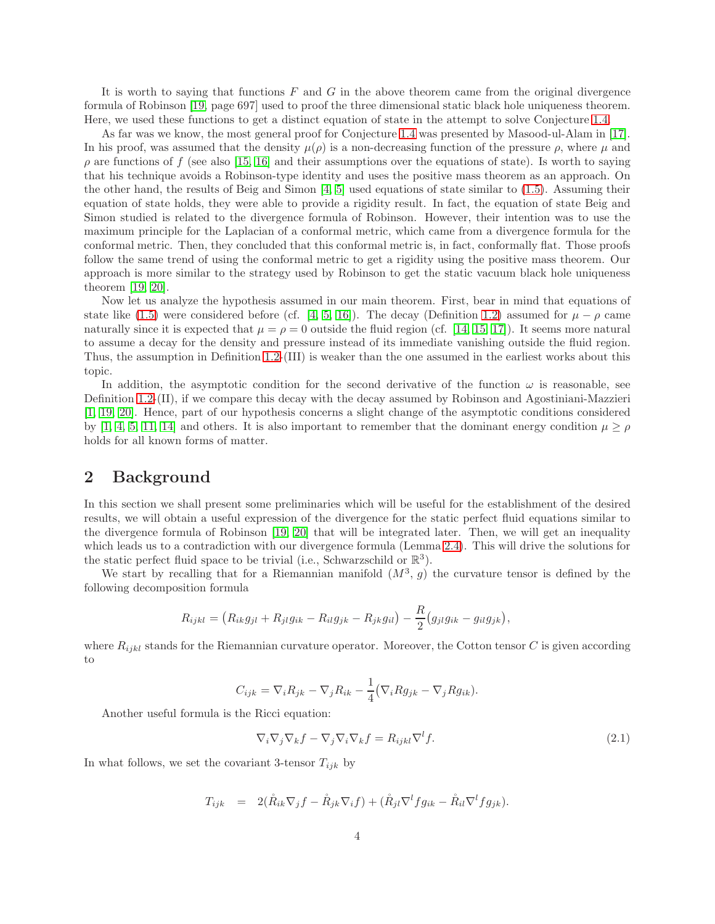It is worth to saying that functions  $F$  and  $G$  in the above theorem came from the original divergence formula of Robinson [\[19,](#page-11-4) page 697] used to proof the three dimensional static black hole uniqueness theorem. Here, we used these functions to get a distinct equation of state in the attempt to solve Conjecture [1.4.](#page-2-1)

As far was we know, the most general proof for Conjecture [1.4](#page-2-1) was presented by Masood-ul-Alam in [\[17\]](#page-11-3). In his proof, was assumed that the density  $\mu(\rho)$  is a non-decreasing function of the pressure  $\rho$ , where  $\mu$  and  $\rho$  are functions of f (see also [\[15,](#page-11-2) [16\]](#page-11-7) and their assumptions over the equations of state). Is worth to saying that his technique avoids a Robinson-type identity and uses the positive mass theorem as an approach. On the other hand, the results of Beig and Simon [\[4,](#page-10-2) [5\]](#page-10-3) used equations of state similar to [\(1.5\)](#page-2-2). Assuming their equation of state holds, they were able to provide a rigidity result. In fact, the equation of state Beig and Simon studied is related to the divergence formula of Robinson. However, their intention was to use the maximum principle for the Laplacian of a conformal metric, which came from a divergence formula for the conformal metric. Then, they concluded that this conformal metric is, in fact, conformally flat. Those proofs follow the same trend of using the conformal metric to get a rigidity using the positive mass theorem. Our approach is more similar to the strategy used by Robinson to get the static vacuum black hole uniqueness theorem [\[19,](#page-11-4) [20\]](#page-11-6).

Now let us analyze the hypothesis assumed in our main theorem. First, bear in mind that equations of state like [\(1.5\)](#page-2-2) were considered before (cf. [\[4,](#page-10-2) [5,](#page-10-3) [16\]](#page-11-7)). The decay (Definition [1.2\)](#page-1-3) assumed for  $\mu - \rho$  came naturally since it is expected that  $\mu = \rho = 0$  outside the fluid region (cf. [\[14,](#page-11-1) [15,](#page-11-2) [17\]](#page-11-3)). It seems more natural to assume a decay for the density and pressure instead of its immediate vanishing outside the fluid region. Thus, the assumption in Definition [1.2-](#page-1-3)(III) is weaker than the one assumed in the earliest works about this topic.

In addition, the asymptotic condition for the second derivative of the function  $\omega$  is reasonable, see Definition [1.2-](#page-1-3)(II), if we compare this decay with the decay assumed by Robinson and Agostiniani-Mazzieri [\[1,](#page-10-10) [19,](#page-11-4) [20\]](#page-11-6). Hence, part of our hypothesis concerns a slight change of the asymptotic conditions considered by [\[1,](#page-10-10) [4,](#page-10-2) [5,](#page-10-3) [11,](#page-10-5) [14\]](#page-11-1) and others. It is also important to remember that the dominant energy condition  $\mu \ge \rho$ holds for all known forms of matter.

### 2 Background

In this section we shall present some preliminaries which will be useful for the establishment of the desired results, we will obtain a useful expression of the divergence for the static perfect fluid equations similar to the divergence formula of Robinson [\[19,](#page-11-4) [20\]](#page-11-6) that will be integrated later. Then, we will get an inequality which leads us to a contradiction with our divergence formula (Lemma [2.4\)](#page-6-0). This will drive the solutions for the static perfect fluid space to be trivial (i.e., Schwarzschild or  $\mathbb{R}^3$ ).

We start by recalling that for a Riemannian manifold  $(M^3, g)$  the curvature tensor is defined by the following decomposition formula

$$
R_{ijkl} = (R_{ik}g_{jl} + R_{jl}g_{ik} - R_{il}g_{jk} - R_{jk}g_{il}) - \frac{R}{2}(g_{jl}g_{ik} - g_{il}g_{jk}),
$$

where  $R_{ijkl}$  stands for the Riemannian curvature operator. Moreover, the Cotton tensor C is given according to

$$
C_{ijk} = \nabla_i R_{jk} - \nabla_j R_{ik} - \frac{1}{4} (\nabla_i R g_{jk} - \nabla_j R g_{ik}).
$$

Another useful formula is the Ricci equation:

<span id="page-3-0"></span>
$$
\nabla_i \nabla_j \nabla_k f - \nabla_j \nabla_i \nabla_k f = R_{ijkl} \nabla^l f. \tag{2.1}
$$

In what follows, we set the covariant 3-tensor  $T_{ijk}$  by

$$
T_{ijk} = 2(\mathring{R}_{ik}\nabla_j f - \mathring{R}_{jk}\nabla_i f) + (\mathring{R}_{jl}\nabla^l fg_{ik} - \mathring{R}_{il}\nabla^l fg_{jk}).
$$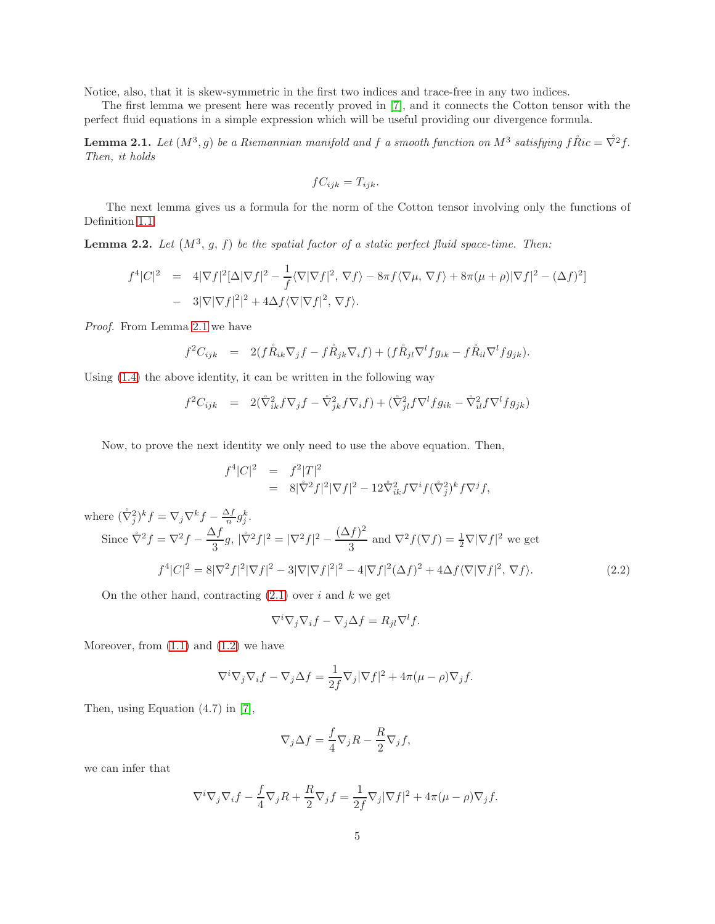Notice, also, that it is skew-symmetric in the first two indices and trace-free in any two indices.

The first lemma we present here was recently proved in [\[7\]](#page-10-7), and it connects the Cotton tensor with the perfect fluid equations in a simple expression which will be useful providing our divergence formula.

<span id="page-4-0"></span>**Lemma 2.1.** Let  $(M^3, g)$  be a Riemannian manifold and f a smooth function on  $M^3$  satisfying  $f \r{R}ic = \nabla^2 f$ . Then, it holds

$$
fC_{ijk} = T_{ijk}.
$$

The next lemma gives us a formula for the norm of the Cotton tensor involving only the functions of Definition [1.1.](#page-1-4)

<span id="page-4-2"></span>**Lemma 2.2.** Let  $(M^3, g, f)$  be the spatial factor of a static perfect fluid space-time. Then:

$$
f^{4}|C|^{2} = 4|\nabla f|^{2}[\Delta|\nabla f|^{2} - \frac{1}{f}\langle\nabla|\nabla f|^{2}, \nabla f\rangle - 8\pi f\langle\nabla\mu, \nabla f\rangle + 8\pi(\mu + \rho)|\nabla f|^{2} - (\Delta f)^{2}]
$$
  
- 3|\nabla|\nabla f|^{2}|^{2} + 4\Delta f\langle\nabla|\nabla f|^{2}, \nabla f\rangle.

Proof. From Lemma [2.1](#page-4-0) we have

$$
f^2 C_{ijk} = 2(f\mathring{R}_{ik}\nabla_j f - f\mathring{R}_{jk}\nabla_i f) + (f\mathring{R}_{jl}\nabla^l f g_{ik} - f\mathring{R}_{il}\nabla^l f g_{jk}).
$$

Using [\(1.4\)](#page-1-5) the above identity, it can be written in the following way

$$
f^{2}C_{ijk} = 2(\mathring{\nabla}_{ik}^{2} f \nabla_{j} f - \mathring{\nabla}_{jk}^{2} f \nabla_{i} f) + (\mathring{\nabla}_{jl}^{2} f \nabla^{l} f g_{ik} - \mathring{\nabla}_{il}^{2} f \nabla^{l} f g_{jk})
$$

Now, to prove the next identity we only need to use the above equation. Then,

$$
f^{4}|C|^{2} = f^{2}|T|^{2}
$$
  
=  $8|\overset{\circ}{\nabla}^{2}f|^{2}|\nabla f|^{2} - 12\overset{\circ}{\nabla}^{2}_{ik}f\nabla^{i}f(\overset{\circ}{\nabla}_{j}^{2})^{k}f\nabla^{j}f,$ 

where  $(\mathring{\nabla}_j^2)^k f = \nabla_j \nabla^k f - \frac{\Delta f}{n} g_j^k$ .

Since 
$$
\dot{\nabla}^2 f = \nabla^2 f - \frac{\Delta f}{3} g
$$
,  $|\dot{\nabla}^2 f|^2 = |\nabla^2 f|^2 - \frac{(\Delta f)^2}{3}$  and  $\nabla^2 f(\nabla f) = \frac{1}{2} \nabla |\nabla f|^2$  we get  
\n
$$
f^4 |C|^2 = 8|\nabla^2 f|^2 |\nabla f|^2 - 3|\nabla |\nabla f|^2|^2 - 4|\nabla f|^2 (\Delta f)^2 + 4\Delta f \langle \nabla |\nabla f|^2, \nabla f \rangle.
$$
\n(2.2)

<span id="page-4-1"></span>On the other hand, contracting  $(2.1)$  over i and k we get

$$
\nabla^i \nabla_j \nabla_i f - \nabla_j \Delta f = R_{jl} \nabla^l f.
$$

Moreover, from  $(1.1)$  and  $(1.2)$  we have

$$
\nabla^i \nabla_j \nabla_i f - \nabla_j \Delta f = \frac{1}{2f} \nabla_j |\nabla f|^2 + 4\pi (\mu - \rho) \nabla_j f.
$$

Then, using Equation (4.7) in [\[7\]](#page-10-7),

$$
\nabla_j \Delta f = \frac{f}{4} \nabla_j R - \frac{R}{2} \nabla_j f,
$$

we can infer that

$$
\nabla^i \nabla_j \nabla_i f - \frac{f}{4} \nabla_j R + \frac{R}{2} \nabla_j f = \frac{1}{2f} \nabla_j |\nabla f|^2 + 4\pi (\mu - \rho) \nabla_j f.
$$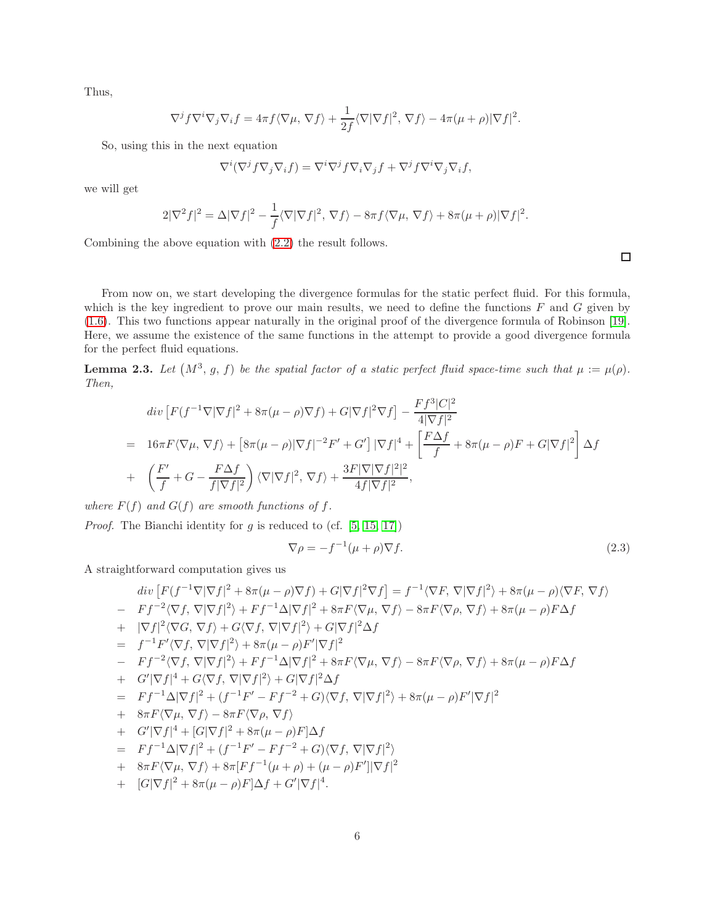Thus,

$$
\nabla^j f \nabla^i \nabla_j \nabla_i f = 4\pi f \langle \nabla \mu, \nabla f \rangle + \frac{1}{2f} \langle \nabla |\nabla f|^2, \nabla f \rangle - 4\pi (\mu + \rho) |\nabla f|^2.
$$

So, using this in the next equation

$$
\nabla^i(\nabla^j f \nabla_j \nabla_i f) = \nabla^i \nabla^j f \nabla_i \nabla_j f + \nabla^j f \nabla^i \nabla_j \nabla_i f,
$$

we will get

$$
2|\nabla^2 f|^2 = \Delta |\nabla f|^2 - \frac{1}{f} \langle \nabla |\nabla f|^2, \nabla f \rangle - 8\pi f \langle \nabla \mu, \nabla f \rangle + 8\pi (\mu + \rho) |\nabla f|^2.
$$

Combining the above equation with [\(2.2\)](#page-4-1) the result follows.

From now on, we start developing the divergence formulas for the static perfect fluid. For this formula, which is the key ingredient to prove our main results, we need to define the functions  $F$  and  $G$  given by [\(1.6\)](#page-2-3). This two functions appear naturally in the original proof of the divergence formula of Robinson [\[19\]](#page-11-4). Here, we assume the existence of the same functions in the attempt to provide a good divergence formula for the perfect fluid equations.

<span id="page-5-0"></span>**Lemma 2.3.** Let  $(M^3, g, f)$  be the spatial factor of a static perfect fluid space-time such that  $\mu := \mu(\rho)$ . Then,

$$
div [F(f^{-1}\nabla|\nabla f|^2 + 8\pi(\mu - \rho)\nabla f) + G|\nabla f|^2 \nabla f] - \frac{Ff^3|C|^2}{4|\nabla f|^2}
$$
  
=  $16\pi F \langle \nabla \mu, \nabla f \rangle + [8\pi(\mu - \rho)|\nabla f|^{-2}F' + G'] |\nabla f|^4 + \left[\frac{F\Delta f}{f} + 8\pi(\mu - \rho)F + G|\nabla f|^2\right] \Delta f$   
+  $\left(\frac{F'}{f} + G - \frac{F\Delta f}{f|\nabla f|^2}\right) \langle \nabla |\nabla f|^2, \nabla f \rangle + \frac{3F|\nabla|\nabla f|^2|^2}{4f|\nabla f|^2},$ 

where  $F(f)$  and  $G(f)$  are smooth functions of f.

*Proof.* The Bianchi identity for  $g$  is reduced to (cf. [\[5,](#page-10-3) [15,](#page-11-2) [17\]](#page-11-3))

<span id="page-5-1"></span>
$$
\nabla \rho = -f^{-1}(\mu + \rho)\nabla f. \tag{2.3}
$$

A straightforward computation gives us

$$
div [F(f^{-1}\nabla|\nabla f|^{2} + 8\pi(\mu - \rho)\nabla f) + G|\nabla f|^{2}\nabla f] = f^{-1}\langle \nabla F, \nabla|\nabla f|^{2}\rangle + 8\pi(\mu - \rho)\langle \nabla F, \nabla f \rangle
$$
  
\n
$$
- Ff^{-2}\langle \nabla f, \nabla|\nabla f|^{2}\rangle + Ff^{-1}\Delta|\nabla f|^{2} + 8\pi F\langle \nabla \mu, \nabla f \rangle - 8\pi F\langle \nabla \rho, \nabla f \rangle + 8\pi(\mu - \rho)F\Delta f
$$
  
\n
$$
+ |\nabla f|^{2}\langle \nabla G, \nabla f \rangle + G\langle \nabla f, \nabla|\nabla f|^{2}\rangle + G|\nabla f|^{2}\Delta f
$$
  
\n
$$
= f^{-1}F'\langle \nabla f, \nabla|\nabla f|^{2}\rangle + 8\pi(\mu - \rho)F'|\nabla f|^{2}
$$
  
\n
$$
- Ff^{-2}\langle \nabla f, \nabla|\nabla f|^{2}\rangle + Ff^{-1}\Delta|\nabla f|^{2} + 8\pi F\langle \nabla \mu, \nabla f \rangle - 8\pi F\langle \nabla \rho, \nabla f \rangle + 8\pi(\mu - \rho)F\Delta f
$$
  
\n
$$
+ G'|\nabla f|^{4} + G\langle \nabla f, \nabla|\nabla f|^{2}\rangle + G|\nabla f|^{2}\Delta f
$$
  
\n
$$
= Ff^{-1}\Delta|\nabla f|^{2} + (f^{-1}F' - Ff^{-2} + G)\langle \nabla f, \nabla|\nabla f|^{2}\rangle + 8\pi(\mu - \rho)F'|\nabla f|^{2}
$$
  
\n
$$
+ 8\pi F\langle \nabla \mu, \nabla f \rangle - 8\pi F\langle \nabla \rho, \nabla f \rangle
$$
  
\n
$$
+ G'|\nabla f|^{4} + [G|\nabla f|^{2} + 8\pi(\mu - \rho)F]\Delta f
$$
  
\n
$$
= Ff^{-1}\Delta|\nabla f|^{2} + (f^{-1}F' - Ff^{-
$$

$$
+ \quad [G|\nabla f|^2 + 8\pi(\mu - \rho)F]\Delta f + G'|\nabla f|^4.
$$

 $\Box$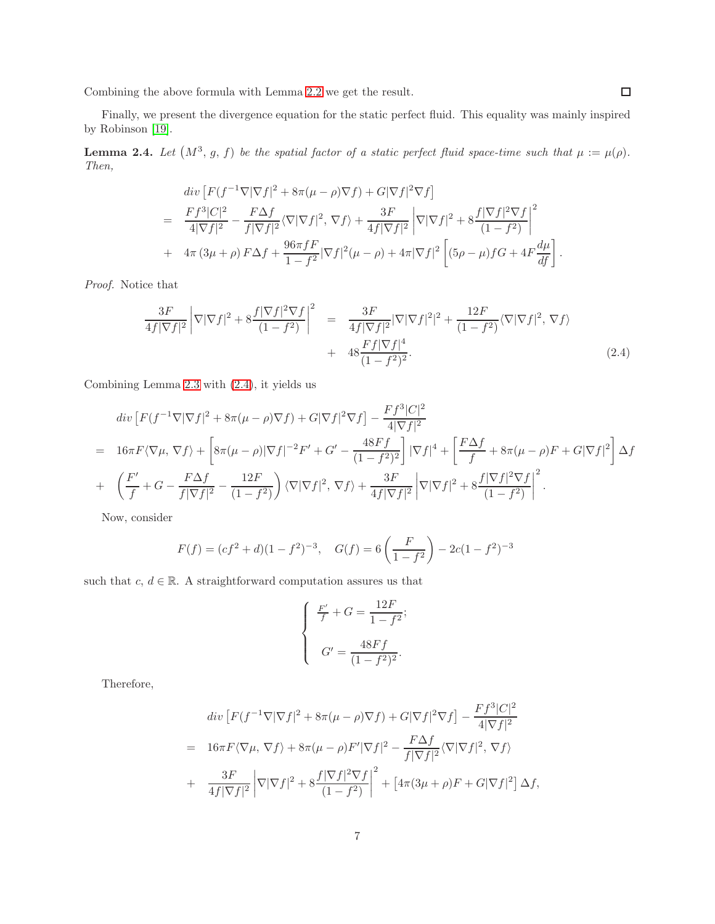Combining the above formula with Lemma [2.2](#page-4-2) we get the result.

Finally, we present the divergence equation for the static perfect fluid. This equality was mainly inspired by Robinson [\[19\]](#page-11-4).

<span id="page-6-0"></span>**Lemma 2.4.** Let  $(M^3, g, f)$  be the spatial factor of a static perfect fluid space-time such that  $\mu := \mu(\rho)$ . Then,

$$
div \left[ F(f^{-1}\nabla|\nabla f|^{2} + 8\pi(\mu - \rho)\nabla f) + G|\nabla f|^{2}\nabla f \right]
$$
  
= 
$$
\frac{Ff^{3}|C|^{2}}{4|\nabla f|^{2}} - \frac{F\Delta f}{f|\nabla f|^{2}} \langle \nabla|\nabla f|^{2}, \nabla f \rangle + \frac{3F}{4f|\nabla f|^{2}} \left| \nabla|\nabla f|^{2} + 8\frac{f|\nabla f|^{2}\nabla f}{(1 - f^{2})} \right|^{2}
$$
  
+ 
$$
4\pi (3\mu + \rho) F\Delta f + \frac{96\pi fF}{1 - f^{2}} |\nabla f|^{2} (\mu - \rho) + 4\pi |\nabla f|^{2} \left[ (5\rho - \mu) fG + 4F \frac{d\mu}{df} \right].
$$

Proof. Notice that

<span id="page-6-1"></span>
$$
\frac{3F}{4f|\nabla f|^2} \left| \nabla |\nabla f|^2 + 8 \frac{f|\nabla f|^2 \nabla f}{(1 - f^2)} \right|^2 = \frac{3F}{4f|\nabla f|^2} |\nabla |\nabla f|^2|^2 + \frac{12F}{(1 - f^2)} \langle \nabla |\nabla f|^2, \nabla f \rangle + 48 \frac{Ff|\nabla f|^4}{(1 - f^2)^2}.
$$
\n(2.4)

Combining Lemma [2.3](#page-5-0) with [\(2.4\)](#page-6-1), it yields us

$$
div\left[F(f^{-1}\nabla|\nabla f|^2 + 8\pi(\mu - \rho)\nabla f) + G|\nabla f|^2 \nabla f\right] - \frac{Ff^3|C|^2}{4|\nabla f|^2}
$$
  
=  $16\pi F\langle\nabla\mu, \nabla f\rangle + \left[8\pi(\mu - \rho)|\nabla f|^{-2}F' + G' - \frac{48Ff}{(1 - f^2)^2}\right]|\nabla f|^4 + \left[\frac{F\Delta f}{f} + 8\pi(\mu - \rho)F + G|\nabla f|^2\right]\Delta f$   
+  $\left(\frac{F'}{f} + G - \frac{F\Delta f}{f|\nabla f|^2} - \frac{12F}{(1 - f^2)}\right)\langle\nabla|\nabla f|^2, \nabla f\rangle + \frac{3F}{4f|\nabla f|^2}\left|\nabla|\nabla f|^2 + 8\frac{f|\nabla f|^2 \nabla f}{(1 - f^2)}\right|^2.$ 

Now, consider

$$
F(f) = (cf2 + d)(1 - f2)-3, \quad G(f) = 6\left(\frac{F}{1 - f2}\right) - 2c(1 - f2)-3
$$

such that  $c, d \in \mathbb{R}$ . A straightforward computation assures us that

$$
\begin{cases}\n\frac{F'}{f} + G = \frac{12F}{1 - f^2}; \\
G' = \frac{48Ff}{(1 - f^2)^2}.\n\end{cases}
$$

Therefore,

$$
div [F(f^{-1}\nabla|\nabla f|^2 + 8\pi(\mu - \rho)\nabla f) + G|\nabla f|^2 \nabla f] - \frac{Ff^3|C|^2}{4|\nabla f|^2}
$$
  
=  $16\pi F \langle \nabla \mu, \nabla f \rangle + 8\pi(\mu - \rho)F'|\nabla f|^2 - \frac{F\Delta f}{f|\nabla f|^2} \langle \nabla |\nabla f|^2, \nabla f \rangle$   
+  $\frac{3F}{4f|\nabla f|^2} |\nabla |\nabla f|^2 + 8\frac{f|\nabla f|^2 \nabla f}{(1 - f^2)}|^2 + [4\pi(3\mu + \rho)F + G|\nabla f|^2] \Delta f,$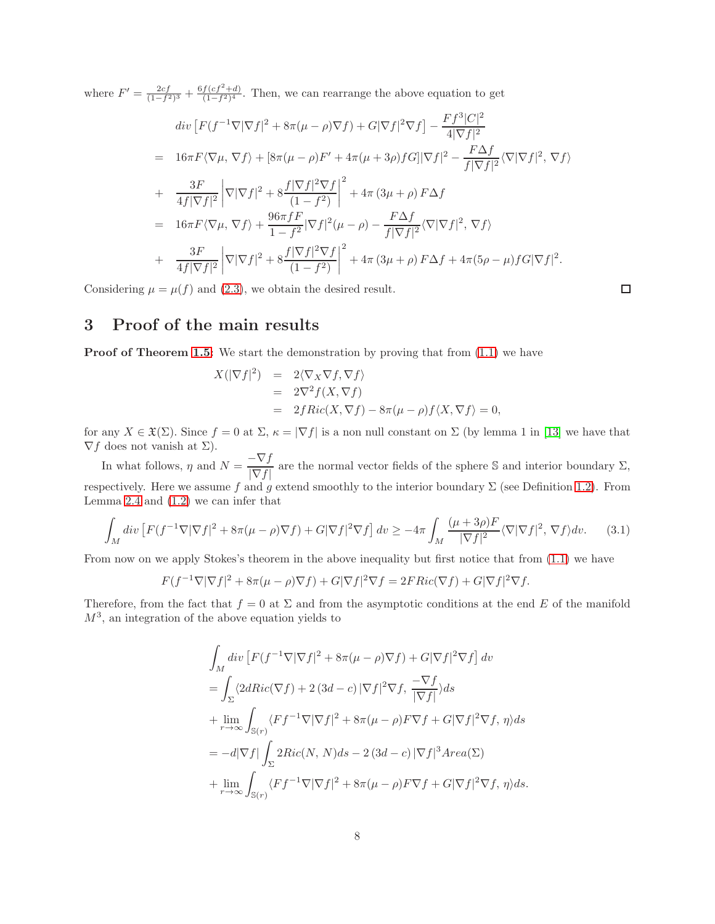where  $F' = \frac{2cf}{(1-f^2)^3} + \frac{6f(cf^2+d)}{(1-f^2)^4}$  $\frac{f(c_f + a)}{(1 - f^2)^4}$ . Then, we can rearrange the above equation to get

$$
div [F(f^{-1}\nabla|\nabla f|^2 + 8\pi(\mu - \rho)\nabla f) + G|\nabla f|^2 \nabla f] - \frac{Ff^3|C|^2}{4|\nabla f|^2}
$$
  
\n
$$
= 16\pi F \langle \nabla \mu, \nabla f \rangle + [8\pi(\mu - \rho)F' + 4\pi(\mu + 3\rho)fg]|\nabla f|^2 - \frac{F\Delta f}{f|\nabla f|^2} \langle \nabla |\nabla f|^2, \nabla f \rangle
$$
  
\n
$$
+ \frac{3F}{4f|\nabla f|^2} |\nabla |\nabla f|^2 + 8\frac{f|\nabla f|^2 \nabla f}{(1 - f^2)}|^2 + 4\pi (3\mu + \rho) F\Delta f
$$
  
\n
$$
= 16\pi F \langle \nabla \mu, \nabla f \rangle + \frac{96\pi fF}{1 - f^2} |\nabla f|^2 (\mu - \rho) - \frac{F\Delta f}{f|\nabla f|^2} \langle \nabla |\nabla f|^2, \nabla f \rangle
$$
  
\n
$$
+ \frac{3F}{4f|\nabla f|^2} |\nabla |\nabla f|^2 + 8\frac{f|\nabla f|^2 \nabla f}{(1 - f^2)}|^2 + 4\pi (3\mu + \rho) F\Delta f + 4\pi (5\rho - \mu) f G|\nabla f|^2.
$$

Considering  $\mu = \mu(f)$  and [\(2.3\)](#page-5-1), we obtain the desired result.

 $\Box$ 

## 3 Proof of the main results

**Proof of Theorem [1.5:](#page-2-0)** We start the demonstration by proving that from  $(1.1)$  we have

$$
X(|\nabla f|^2) = 2\langle \nabla_X \nabla f, \nabla f \rangle
$$
  
=  $2\nabla^2 f(X, \nabla f)$   
=  $2fRic(X, \nabla f) - 8\pi(\mu - \rho)f\langle X, \nabla f \rangle = 0,$ 

for any  $X \in \mathfrak{X}(\Sigma)$ . Since  $f = 0$  at  $\Sigma$ ,  $\kappa = |\nabla f|$  is a non null constant on  $\Sigma$  (by lemma 1 in [\[13\]](#page-10-9) we have that  $\nabla f$  does not vanish at  $\Sigma$ ).

In what follows,  $\eta$  and  $N = \frac{-\nabla f}{\sqrt{\sum f}}$  $\frac{V - Vf}{|\nabla f|}$  are the normal vector fields of the sphere S and interior boundary  $\Sigma$ , respectively. Here we assume f and g extend smoothly to the interior boundary  $\Sigma$  (see Definition [1.2\)](#page-1-3). From Lemma [2.4](#page-6-0) and [\(1.2\)](#page-1-1) we can infer that

<span id="page-7-0"></span>
$$
\int_M \operatorname{div} \left[ F(f^{-1} \nabla |\nabla f|^2 + 8\pi (\mu - \rho) \nabla f) + G |\nabla f|^2 \nabla f \right] d\upsilon \ge -4\pi \int_M \frac{(\mu + 3\rho) F}{|\nabla f|^2} \langle \nabla |\nabla f|^2, \nabla f \rangle d\upsilon. \tag{3.1}
$$

From now on we apply Stokes's theorem in the above inequality but first notice that from [\(1.1\)](#page-1-0) we have

$$
F(f^{-1}\nabla|\nabla f|^2 + 8\pi(\mu - \rho)\nabla f) + G|\nabla f|^2 \nabla f = 2FRic(\nabla f) + G|\nabla f|^2 \nabla f.
$$

Therefore, from the fact that  $f = 0$  at  $\Sigma$  and from the asymptotic conditions at the end E of the manifold  $M^3$ , an integration of the above equation yields to

$$
\int_{M} \operatorname{div} \left[ F(f^{-1} \nabla |\nabla f|^{2} + 8\pi (\mu - \rho) \nabla f) + G |\nabla f|^{2} \nabla f \right] \operatorname{dv}
$$
\n
$$
= \int_{\Sigma} \langle 2dRic(\nabla f) + 2(3d - c) |\nabla f|^{2} \nabla f, \frac{-\nabla f}{|\nabla f|} \rangle ds
$$
\n
$$
+ \lim_{r \to \infty} \int_{\mathbb{S}(r)} \langle Ff^{-1} \nabla |\nabla f|^{2} + 8\pi (\mu - \rho) F \nabla f + G |\nabla f|^{2} \nabla f, \eta \rangle ds
$$
\n
$$
= -d |\nabla f| \int_{\Sigma} 2Ric(N, N) ds - 2(3d - c) |\nabla f|^{3} Area(\Sigma)
$$
\n
$$
+ \lim_{r \to \infty} \int_{\mathbb{S}(r)} \langle Ff^{-1} \nabla |\nabla f|^{2} + 8\pi (\mu - \rho) F \nabla f + G |\nabla f|^{2} \nabla f, \eta \rangle ds.
$$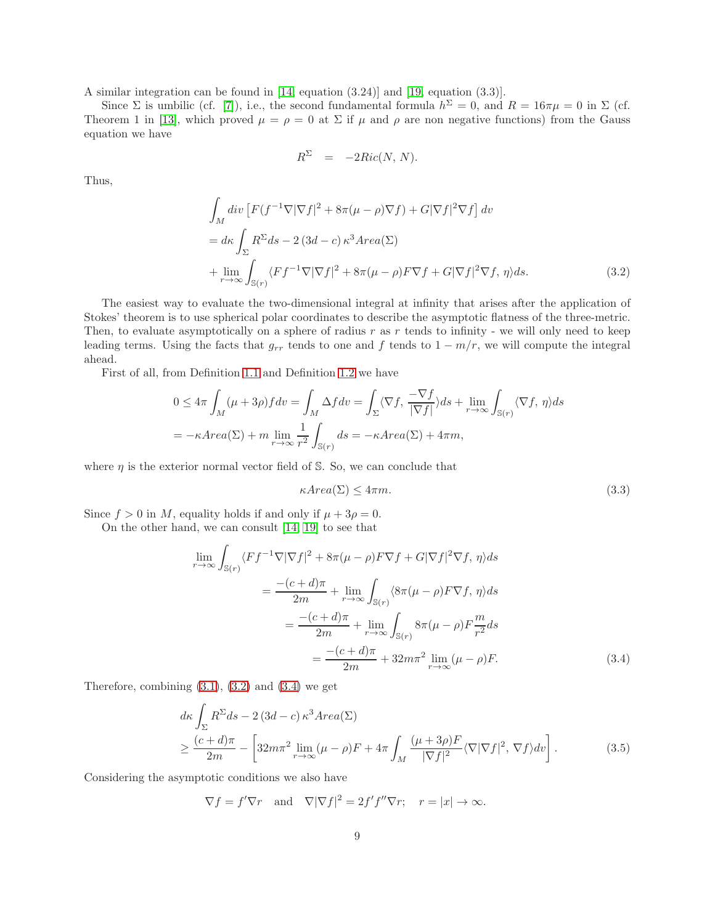A similar integration can be found in [\[14,](#page-11-1) equation (3.24)] and [\[19,](#page-11-4) equation (3.3)].

Since  $\Sigma$  is umbilic (cf. [\[7\]](#page-10-7)), i.e., the second fundamental formula  $h^{\Sigma} = 0$ , and  $R = 16\pi\mu = 0$  in  $\Sigma$  (cf. Theorem 1 in [\[13\]](#page-10-9), which proved  $\mu = \rho = 0$  at  $\Sigma$  if  $\mu$  and  $\rho$  are non negative functions) from the Gauss equation we have

$$
R^{\Sigma} = -2Ric(N, N).
$$

Thus,

<span id="page-8-0"></span>
$$
\int_{M} div \left[ F(f^{-1} \nabla |\nabla f|^{2} + 8\pi (\mu - \rho) \nabla f) + G |\nabla f|^{2} \nabla f \right] dv
$$
\n
$$
= d\kappa \int_{\Sigma} R^{\Sigma} ds - 2 (3d - c) \kappa^{3} Area(\Sigma)
$$
\n
$$
+ \lim_{r \to \infty} \int_{\mathbb{S}(r)} \langle F f^{-1} \nabla |\nabla f|^{2} + 8\pi (\mu - \rho) F \nabla f + G |\nabla f|^{2} \nabla f, \eta \rangle ds. \tag{3.2}
$$

The easiest way to evaluate the two-dimensional integral at infinity that arises after the application of Stokes' theorem is to use spherical polar coordinates to describe the asymptotic flatness of the three-metric. Then, to evaluate asymptotically on a sphere of radius  $r$  as  $r$  tends to infinity - we will only need to keep leading terms. Using the facts that  $g_{rr}$  tends to one and f tends to  $1 - m/r$ , we will compute the integral ahead.

First of all, from Definition [1.1](#page-1-4) and Definition [1.2](#page-1-3) we have

$$
0 \le 4\pi \int_M (\mu + 3\rho) f dv = \int_M \Delta f dv = \int_{\Sigma} \langle \nabla f, \frac{-\nabla f}{|\nabla f|} \rangle ds + \lim_{r \to \infty} \int_{\mathbb{S}(r)} \langle \nabla f, \eta \rangle ds
$$
  
=  $-\kappa \text{Area}(\Sigma) + m \lim_{r \to \infty} \frac{1}{r^2} \int_{\mathbb{S}(r)} ds = -\kappa \text{Area}(\Sigma) + 4\pi m,$ 

where  $\eta$  is the exterior normal vector field of S. So, we can conclude that

<span id="page-8-3"></span>
$$
\kappa Area(\Sigma) \le 4\pi m. \tag{3.3}
$$

Since  $f > 0$  in M, equality holds if and only if  $\mu + 3\rho = 0$ .

On the other hand, we can consult [\[14,](#page-11-1) [19\]](#page-11-4) to see that

<span id="page-8-1"></span>
$$
\lim_{r \to \infty} \int_{\mathbb{S}(r)} \langle F f^{-1} \nabla |\nabla f|^2 + 8\pi (\mu - \rho) F \nabla f + G |\nabla f|^2 \nabla f, \eta \rangle ds
$$

$$
= \frac{-(c+d)\pi}{2m} + \lim_{r \to \infty} \int_{\mathbb{S}(r)} \langle 8\pi (\mu - \rho) F \nabla f, \eta \rangle ds
$$

$$
= \frac{-(c+d)\pi}{2m} + \lim_{r \to \infty} \int_{\mathbb{S}(r)} 8\pi (\mu - \rho) F \frac{m}{r^2} ds
$$

$$
= \frac{-(c+d)\pi}{2m} + 32m\pi^2 \lim_{r \to \infty} (\mu - \rho) F. \tag{3.4}
$$

Therefore, combining  $(3.1)$ ,  $(3.2)$  and  $(3.4)$  we get

<span id="page-8-2"></span>
$$
d\kappa \int_{\Sigma} R^{\Sigma} ds - 2 (3d - c) \kappa^{3} Area(\Sigma)
$$
  
\n
$$
\geq \frac{(c + d)\pi}{2m} - \left[ 32m\pi^{2} \lim_{r \to \infty} (\mu - \rho)F + 4\pi \int_{M} \frac{(\mu + 3\rho)F}{|\nabla f|^{2}} \langle \nabla |\nabla f|^{2}, \nabla f \rangle dv \right].
$$
 (3.5)

Considering the asymptotic conditions we also have

$$
\nabla f = f'\nabla r
$$
 and  $\nabla|\nabla f|^2 = 2f'f''\nabla r$ ;  $r = |x| \to \infty$ .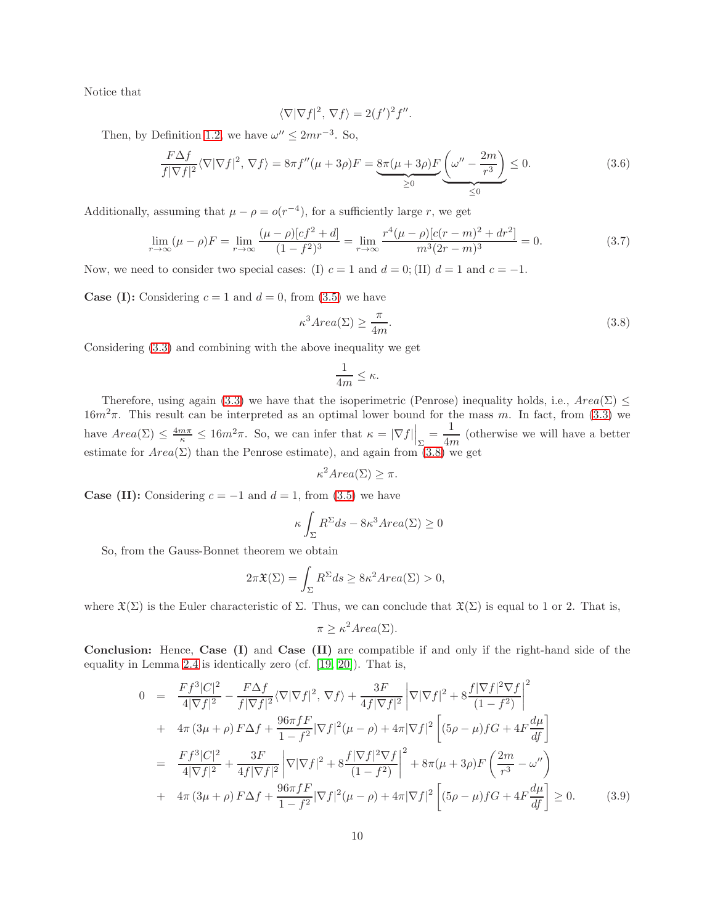Notice that

$$
\langle \nabla |\nabla f|^2, \nabla f \rangle = 2(f')^2 f''.
$$

Then, by Definition [1.2,](#page-1-3) we have  $\omega'' \leq 2mr^{-3}$ . So,

<span id="page-9-0"></span>
$$
\frac{F\Delta f}{f|\nabla f|^2}\langle \nabla|\nabla f|^2, \nabla f\rangle = 8\pi f''(\mu + 3\rho)F = \underbrace{8\pi(\mu + 3\rho)F}_{\geq 0}\underbrace{(\omega'' - \frac{2m}{r^3})}_{\leq 0} \leq 0. \tag{3.6}
$$

Additionally, assuming that  $\mu - \rho = o(r^{-4})$ , for a sufficiently large r, we get

$$
\lim_{r \to \infty} (\mu - \rho) F = \lim_{r \to \infty} \frac{(\mu - \rho)[cf^2 + d]}{(1 - f^2)^3} = \lim_{r \to \infty} \frac{r^4 (\mu - \rho)[c(r - m)^2 + dr^2]}{m^3 (2r - m)^3} = 0.
$$
\n(3.7)

Now, we need to consider two special cases: (I)  $c = 1$  and  $d = 0$ ; (II)  $d = 1$  and  $c = -1$ .

**Case (I):** Considering  $c = 1$  and  $d = 0$ , from [\(3.5\)](#page-8-2) we have

<span id="page-9-1"></span>
$$
\kappa^3 Area(\Sigma) \ge \frac{\pi}{4m}.\tag{3.8}
$$

Considering [\(3.3\)](#page-8-3) and combining with the above inequality we get

$$
\frac{1}{4m} \leq \kappa.
$$

Therefore, using again [\(3.3\)](#page-8-3) we have that the isoperimetric (Penrose) inequality holds, i.e.,  $Area(\Sigma)$  <  $16m^2\pi$ . This result can be interpreted as an optimal lower bound for the mass m. In fact, from [\(3.3\)](#page-8-3) we have  $Area(\Sigma) \leq \frac{4m\pi}{\kappa} \leq 16m^2\pi$ . So, we can infer that  $\kappa = |\nabla f| \Big|_{\Sigma} = \frac{1}{4m^2}$  $\frac{1}{4m}$  (otherwise we will have a better estimate for  $Area(\Sigma)$  than the Penrose estimate), and again from  $(3.8)$  we get

$$
\kappa^2 Area(\Sigma) \ge \pi.
$$

**Case (II):** Considering  $c = -1$  and  $d = 1$ , from [\(3.5\)](#page-8-2) we have

$$
\kappa \int_{\Sigma} R^{\Sigma} ds - 8\kappa^3 Area(\Sigma) \ge 0
$$

So, from the Gauss-Bonnet theorem we obtain

$$
2\pi \mathfrak{X}(\Sigma) = \int_{\Sigma} R^{\Sigma} ds \ge 8\kappa^2 Area(\Sigma) > 0,
$$

where  $\mathfrak{X}(\Sigma)$  is the Euler characteristic of  $\Sigma$ . Thus, we can conclude that  $\mathfrak{X}(\Sigma)$  is equal to 1 or 2. That is,

$$
\pi \ge \kappa^2 Area(\Sigma).
$$

Conclusion: Hence, Case (I) and Case (II) are compatible if and only if the right-hand side of the equality in Lemma [2.4](#page-6-0) is identically zero (cf. [\[19,](#page-11-4) [20\]](#page-11-6)). That is,

$$
0 = \frac{Ff^3|C|^2}{4|\nabla f|^2} - \frac{F\Delta f}{f|\nabla f|^2} \langle \nabla |\nabla f|^2, \nabla f \rangle + \frac{3F}{4f|\nabla f|^2} \left| \nabla |\nabla f|^2 + 8\frac{f|\nabla f|^2 \nabla f}{(1-f^2)} \right|^2 + 4\pi (3\mu + \rho) F\Delta f + \frac{96\pi fF}{1-f^2} |\nabla f|^2 (\mu - \rho) + 4\pi |\nabla f|^2 \left[ (5\rho - \mu) fG + 4F \frac{d\mu}{df} \right] = \frac{Ff^3|C|^2}{4|\nabla f|^2} + \frac{3F}{4f|\nabla f|^2} \left| \nabla |\nabla f|^2 + 8\frac{f|\nabla f|^2 \nabla f}{(1-f^2)} \right|^2 + 8\pi (\mu + 3\rho) F \left( \frac{2m}{r^3} - \omega'' \right) + 4\pi (3\mu + \rho) F\Delta f + \frac{96\pi fF}{1-f^2} |\nabla f|^2 (\mu - \rho) + 4\pi |\nabla f|^2 \left[ (5\rho - \mu) fG + 4F \frac{d\mu}{df} \right] \ge 0.
$$
(3.9)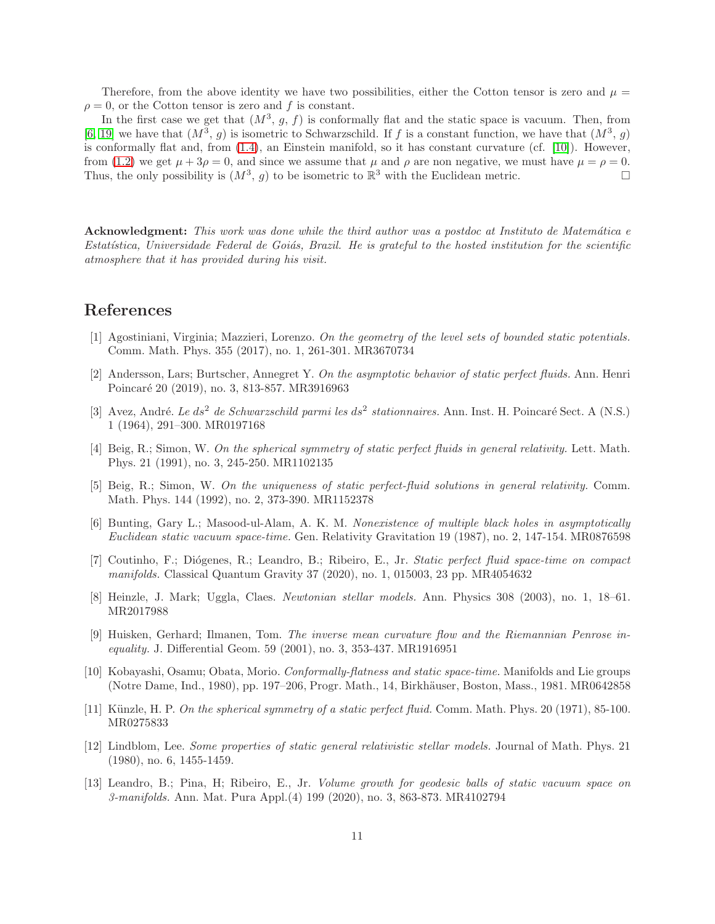Therefore, from the above identity we have two possibilities, either the Cotton tensor is zero and  $\mu =$  $\rho = 0$ , or the Cotton tensor is zero and f is constant.

In the first case we get that  $(M^3, g, f)$  is conformally flat and the static space is vacuum. Then, from [\[6,](#page-10-12) [19\]](#page-11-4) we have that  $(M^3, g)$  is isometric to Schwarzschild. If f is a constant function, we have that  $(M^3, g)$ is conformally flat and, from  $(1.4)$ , an Einstein manifold, so it has constant curvature (cf. [\[10\]](#page-10-8)). However, from [\(1.2\)](#page-1-1) we get  $\mu + 3\rho = 0$ , and since we assume that  $\mu$  and  $\rho$  are non negative, we must have  $\mu = \rho = 0$ . Thus, the only possibility is  $(M^3, g)$  to be isometric to  $\mathbb{R}^3$  with the Euclidean metric.

Acknowledgment: This work was done while the third author was a postdoc at Instituto de Matemática e Estatística, Universidade Federal de Goiás, Brazil. He is grateful to the hosted institution for the scientific atmosphere that it has provided during his visit.

# <span id="page-10-10"></span>References

- <span id="page-10-6"></span>[1] Agostiniani, Virginia; Mazzieri, Lorenzo. On the geometry of the level sets of bounded static potentials. Comm. Math. Phys. 355 (2017), no. 1, 261-301. MR3670734
- [2] Andersson, Lars; Burtscher, Annegret Y. On the asymptotic behavior of static perfect fluids. Ann. Henri Poincaré 20 (2019), no. 3, 813-857. MR3916963
- <span id="page-10-0"></span>[3] Avez, André. Le ds<sup>2</sup> de Schwarzschild parmi les ds<sup>2</sup> stationnaires. Ann. Inst. H. Poincaré Sect. A (N.S.) 1 (1964), 291–300. MR0197168
- <span id="page-10-2"></span>[4] Beig, R.; Simon, W. On the spherical symmetry of static perfect fluids in general relativity. Lett. Math. Phys. 21 (1991), no. 3, 245-250. MR1102135
- <span id="page-10-3"></span>[5] Beig, R.; Simon, W. On the uniqueness of static perfect-fluid solutions in general relativity. Comm. Math. Phys. 144 (1992), no. 2, 373-390. MR1152378
- <span id="page-10-12"></span>[6] Bunting, Gary L.; Masood-ul-Alam, A. K. M. Nonexistence of multiple black holes in asymptotically Euclidean static vacuum space-time. Gen. Relativity Gravitation 19 (1987), no. 2, 147-154. MR0876598
- <span id="page-10-7"></span>[7] Coutinho, F.; Diógenes, R.; Leandro, B.; Ribeiro, E., Jr. Static perfect fluid space-time on compact manifolds. Classical Quantum Gravity 37 (2020), no. 1, 015003, 23 pp. MR4054632
- <span id="page-10-11"></span><span id="page-10-4"></span>[8] Heinzle, J. Mark; Uggla, Claes. Newtonian stellar models. Ann. Physics 308 (2003), no. 1, 18–61. MR2017988
- [9] Huisken, Gerhard; Ilmanen, Tom. The inverse mean curvature flow and the Riemannian Penrose inequality. J. Differential Geom. 59 (2001), no. 3, 353-437. MR1916951
- <span id="page-10-8"></span>[10] Kobayashi, Osamu; Obata, Morio. Conformally-flatness and static space-time. Manifolds and Lie groups (Notre Dame, Ind., 1980), pp. 197–206, Progr. Math., 14, Birkh¨auser, Boston, Mass., 1981. MR0642858
- <span id="page-10-5"></span><span id="page-10-1"></span>[11] Künzle, H. P. On the spherical symmetry of a static perfect fluid. Comm. Math. Phys. 20 (1971), 85-100. MR0275833
- [12] Lindblom, Lee. Some properties of static general relativistic stellar models. Journal of Math. Phys. 21 (1980), no. 6, 1455-1459.
- <span id="page-10-9"></span>[13] Leandro, B.; Pina, H; Ribeiro, E., Jr. Volume growth for geodesic balls of static vacuum space on 3-manifolds. Ann. Mat. Pura Appl.(4) 199 (2020), no. 3, 863-873. MR4102794